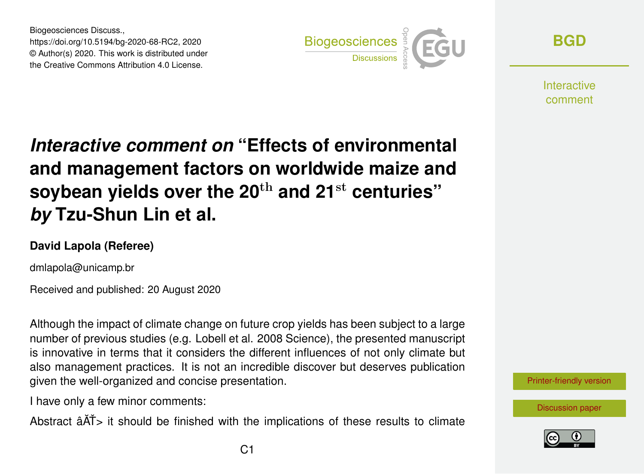Biogeosciences Discuss., https://doi.org/10.5194/bg-2020-68-RC2, 2020 © Author(s) 2020. This work is distributed under the Creative Commons Attribution 4.0 License.



**[BGD](https://bg.copernicus.org/preprints/)**

**Interactive** comment

## *Interactive comment on* **"Effects of environmental and management factors on worldwide maize and soybean yields over the 20**th **and 21**st **centuries"** *by* **Tzu-Shun Lin et al.**

## **David Lapola (Referee)**

dmlapola@unicamp.br

Received and published: 20 August 2020

Although the impact of climate change on future crop yields has been subject to a large number of previous studies (e.g. Lobell et al. 2008 Science), the presented manuscript is innovative in terms that it considers the different influences of not only climate but also management practices. It is not an incredible discover but deserves publication given the well-organized and concise presentation.

I have only a few minor comments:

Abstract  $\hat{A}$  $\check{A}$  it should be finished with the implications of these results to climate



[Discussion paper](https://bg.copernicus.org/preprints/bg-2020-68)